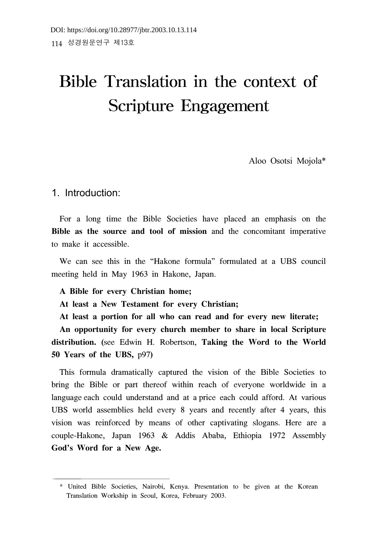# Bible Translation in the context of Scripture Engagement

Aloo Osotsi Mojola\*

## 1. Introduction:

For a long time the Bible Societies have placed an emphasis on the **Bible as the source and tool of mission** and the concomitant imperative to make it accessible.

We can see this in the "Hakone formula" formulated at a UBS council meeting held in May 1963 in Hakone, Japan.

**A Bible for every Christian home;**

**At least a New Testament for every Christian;**

**At least a portion for all who can read and for every new literate;**

**An opportunity for every church member to share in local Scripture distribution. (**see Edwin H. Robertson, **Taking the Word to the World 50 Years of the UBS,** p97**)**

This formula dramatically captured the vision of the Bible Societies to bring the Bible or part thereof within reach of everyone worldwide in a language each could understand and at a price each could afford. At various UBS world assemblies held every 8 years and recently after 4 years, this vision was reinforced by means of other captivating slogans. Here are a couple-Hakone, Japan 1963 & Addis Ababa, Ethiopia 1972 Assembly **God's Word for a New Age.**

<sup>\*</sup> United Bible Societies, Nairobi, Kenya. Presentation to be given at the Korean Translation Workship in Seoul, Korea, February 2003.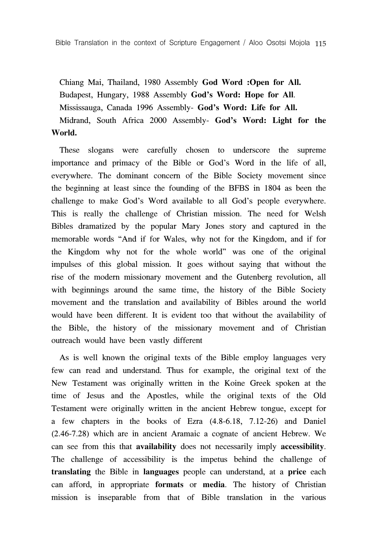Chiang Mai, Thailand, 1980 Assembly **God Word :Open for All.** Budapest, Hungary, 1988 Assembly **God's Word: Hope for All**. Mississauga, Canada 1996 Assembly- **God's Word: Life for All.** Midrand, South Africa 2000 Assembly- **God's Word: Light for the World.**

These slogans were carefully chosen to underscore the supreme importance and primacy of the Bible or God's Word in the life of all, everywhere. The dominant concern of the Bible Society movement since the beginning at least since the founding of the BFBS in 1804 as been the challenge to make God's Word available to all God's people everywhere. This is really the challenge of Christian mission. The need for Welsh Bibles dramatized by the popular Mary Jones story and captured in the memorable words "And if for Wales, why not for the Kingdom, and if for the Kingdom why not for the whole world" was one of the original impulses of this global mission. It goes without saying that without the rise of the modern missionary movement and the Gutenberg revolution, all with beginnings around the same time, the history of the Bible Society movement and the translation and availability of Bibles around the world would have been different. It is evident too that without the availability of the Bible, the history of the missionary movement and of Christian outreach would have been vastly different

As is well known the original texts of the Bible employ languages very few can read and understand. Thus for example, the original text of the New Testament was originally written in the Koine Greek spoken at the time of Jesus and the Apostles, while the original texts of the Old Testament were originally written in the ancient Hebrew tongue, except for a few chapters in the books of Ezra (4.8-6.18, 7.12-26) and Daniel (2.46-7.28) which are in ancient Aramaic a cognate of ancient Hebrew. We can see from this that **availability** does not necessarily imply **accessibility**. The challenge of accessibility is the impetus behind the challenge of **translating** the Bible in **languages** people can understand, at a **price** each can afford, in appropriate **formats** or **media**. The history of Christian mission is inseparable from that of Bible translation in the various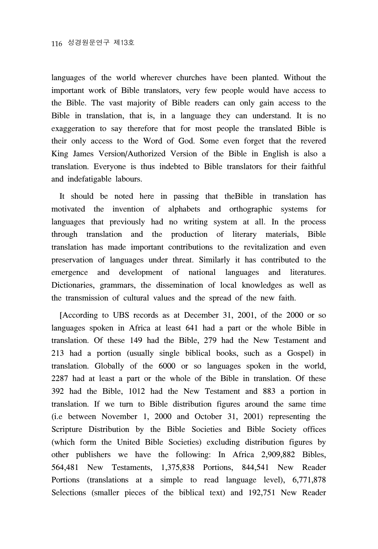languages of the world wherever churches have been planted. Without the important work of Bible translators, very few people would have access to the Bible. The vast majority of Bible readers can only gain access to the Bible in translation, that is, in a language they can understand. It is no exaggeration to say therefore that for most people the translated Bible is their only access to the Word of God. Some even forget that the revered King James Version/Authorized Version of the Bible in English is also a translation. Everyone is thus indebted to Bible translators for their faithful and indefatigable labours.

It should be noted here in passing that theBible in translation has motivated the invention of alphabets and orthographic systems for languages that previously had no writing system at all. In the process through translation and the production of literary materials, Bible translation has made important contributions to the revitalization and even preservation of languages under threat. Similarly it has contributed to the emergence and development of national languages and literatures. Dictionaries, grammars, the dissemination of local knowledges as well as the transmission of cultural values and the spread of the new faith.

[According to UBS records as at December 31, 2001, of the 2000 or so languages spoken in Africa at least 641 had a part or the whole Bible in translation. Of these 149 had the Bible, 279 had the New Testament and 213 had a portion (usually single biblical books, such as a Gospel) in translation. Globally of the 6000 or so languages spoken in the world, 2287 had at least a part or the whole of the Bible in translation. Of these 392 had the Bible, 1012 had the New Testament and 883 a portion in translation. If we turn to Bible distribution figures around the same time (i.e between November 1, 2000 and October 31, 2001) representing the Scripture Distribution by the Bible Societies and Bible Society offices (which form the United Bible Societies) excluding distribution figures by other publishers we have the following: In Africa 2,909,882 Bibles, 564,481 New Testaments, 1,375,838 Portions, 844,541 New Reader Portions (translations at a simple to read language level), 6,771,878 Selections (smaller pieces of the biblical text) and 192,751 New Reader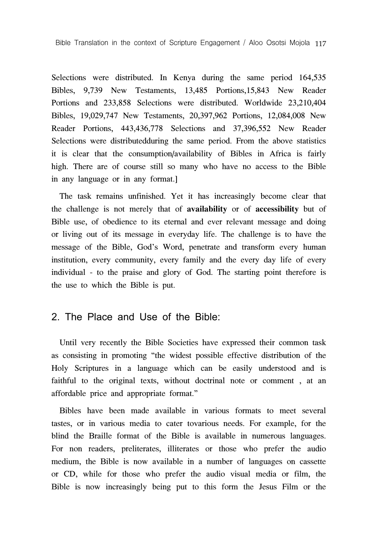Selections were distributed. In Kenya during the same period 164,535 Bibles, 9,739 New Testaments, 13,485 Portions,15,843 New Reader Portions and 233,858 Selections were distributed. Worldwide 23,210,404 Bibles, 19,029,747 New Testaments, 20,397,962 Portions, 12,084,008 New Reader Portions, 443,436,778 Selections and 37,396,552 New Reader Selections were distributedduring the same period. From the above statistics it is clear that the consumption/availability of Bibles in Africa is fairly high. There are of course still so many who have no access to the Bible in any language or in any format.]

The task remains unfinished. Yet it has increasingly become clear that the challenge is not merely that of **availability** or of **accessibility** but of Bible use, of obedience to its eternal and ever relevant message and doing or living out of its message in everyday life. The challenge is to have the message of the Bible, God's Word, penetrate and transform every human institution, every community, every family and the every day life of every individual - to the praise and glory of God. The starting point therefore is the use to which the Bible is put.

## 2. The Place and Use of the Bible:

Until very recently the Bible Societies have expressed their common task as consisting in promoting "the widest possible effective distribution of the Holy Scriptures in a language which can be easily understood and is faithful to the original texts, without doctrinal note or comment , at an affordable price and appropriate format."

Bibles have been made available in various formats to meet several tastes, or in various media to cater tovarious needs. For example, for the blind the Braille format of the Bible is available in numerous languages. For non readers, preliterates, illiterates or those who prefer the audio medium, the Bible is now available in a number of languages on cassette or CD, while for those who prefer the audio visual media or film, the Bible is now increasingly being put to this form the Jesus Film or the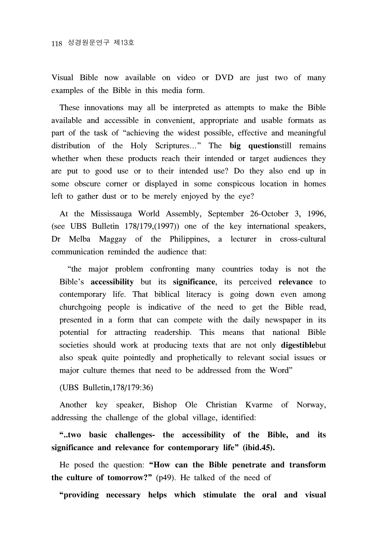Visual Bible now available on video or DVD are just two of many examples of the Bible in this media form.

These innovations may all be interpreted as attempts to make the Bible available and accessible in convenient, appropriate and usable formats as part of the task of "achieving the widest possible, effective and meaningful distribution of the Holy Scriptures…" The **big question**still remains whether when these products reach their intended or target audiences they are put to good use or to their intended use? Do they also end up in some obscure corner or displayed in some conspicous location in homes left to gather dust or to be merely enjoyed by the eye?

At the Mississauga World Assembly, September 26-October 3, 1996, (see UBS Bulletin 178/179,(1997)) one of the key international speakers, Dr Melba Maggay of the Philippines, a lecturer in cross-cultural communication reminded the audience that:

"the major problem confronting many countries today is not the Bible's **accessibility** but its **significance**, its perceived **relevance** to contemporary life. That biblical literacy is going down even among churchgoing people is indicative of the need to get the Bible read, presented in a form that can compete with the daily newspaper in its potential for attracting readership. This means that national Bible societies should work at producing texts that are not only **digestible**but also speak quite pointedly and prophetically to relevant social issues or major culture themes that need to be addressed from the Word"

(UBS Bulletin,178/179:36)

Another key speaker, Bishop Ole Christian Kvarme of Norway, addressing the challenge of the global village, identified:

**"..two basic challenges- the accessibility of the Bible, and its significance and relevance for contemporary life" (ibid.45).** 

He posed the question: **"How can the Bible penetrate and transform the culture of tomorrow?"** (p49). He talked of the need of

**"providing necessary helps which stimulate the oral and visual**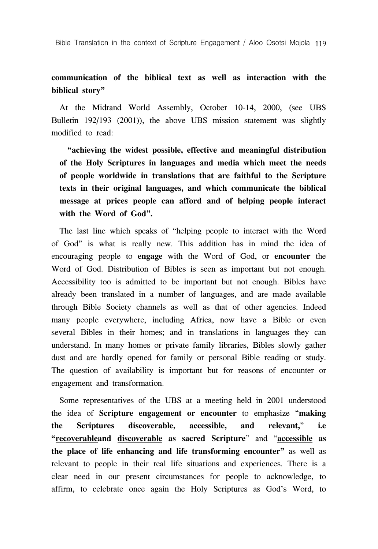## **communication of the biblical text as well as interaction with the biblical story"**

At the Midrand World Assembly, October 10-14, 2000, (see UBS Bulletin 192/193 (2001)), the above UBS mission statement was slightly modified to read:

**"achieving the widest possible, effective and meaningful distribution of the Holy Scriptures in languages and media which meet the needs of people worldwide in translations that are faithful to the Scripture texts in their original languages, and which communicate the biblical message at prices people can afford and of helping people interact with the Word of God".**

The last line which speaks of "helping people to interact with the Word of God" is what is really new. This addition has in mind the idea of encouraging people to **engage** with the Word of God, or **encounter** the Word of God. Distribution of Bibles is seen as important but not enough. Accessibility too is admitted to be important but not enough. Bibles have already been translated in a number of languages, and are made available through Bible Society channels as well as that of other agencies. Indeed many people everywhere, including Africa, now have a Bible or even several Bibles in their homes; and in translations in languages they can understand. In many homes or private family libraries, Bibles slowly gather dust and are hardly opened for family or personal Bible reading or study. The question of availability is important but for reasons of encounter or engagement and transformation.

Some representatives of the UBS at a meeting held in 2001 understood the idea of **Scripture engagement or encounter** to emphasize "**making the Scriptures discoverable, accessible, and relevant,**" **i.e "recoverableand discoverable as sacred Scripture**" and "**accessible as the place of life enhancing and life transforming encounter"** as well as relevant to people in their real life situations and experiences. There is a clear need in our present circumstances for people to acknowledge, to affirm, to celebrate once again the Holy Scriptures as God's Word, to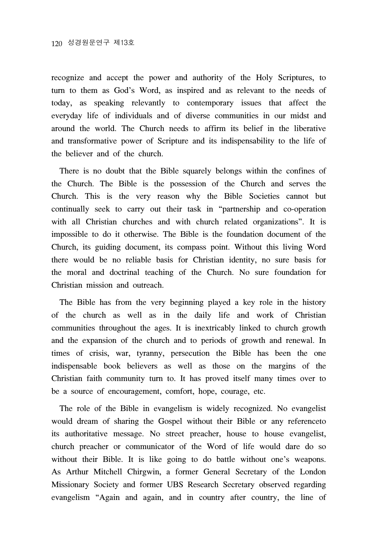recognize and accept the power and authority of the Holy Scriptures, to turn to them as God's Word, as inspired and as relevant to the needs of today, as speaking relevantly to contemporary issues that affect the everyday life of individuals and of diverse communities in our midst and around the world. The Church needs to affirm its belief in the liberative and transformative power of Scripture and its indispensability to the life of the believer and of the church.

There is no doubt that the Bible squarely belongs within the confines of the Church. The Bible is the possession of the Church and serves the Church. This is the very reason why the Bible Societies cannot but continually seek to carry out their task in "partnership and co-operation with all Christian churches and with church related organizations". It is impossible to do it otherwise. The Bible is the foundation document of the Church, its guiding document, its compass point. Without this living Word there would be no reliable basis for Christian identity, no sure basis for the moral and doctrinal teaching of the Church. No sure foundation for Christian mission and outreach.

The Bible has from the very beginning played a key role in the history of the church as well as in the daily life and work of Christian communities throughout the ages. It is inextricably linked to church growth and the expansion of the church and to periods of growth and renewal. In times of crisis, war, tyranny, persecution the Bible has been the one indispensable book believers as well as those on the margins of the Christian faith community turn to. It has proved itself many times over to be a source of encouragement, comfort, hope, courage, etc.

The role of the Bible in evangelism is widely recognized. No evangelist would dream of sharing the Gospel without their Bible or any referenceto its authoritative message. No street preacher, house to house evangelist, church preacher or communicator of the Word of life would dare do so without their Bible. It is like going to do battle without one's weapons. As Arthur Mitchell Chirgwin, a former General Secretary of the London Missionary Society and former UBS Research Secretary observed regarding evangelism "Again and again, and in country after country, the line of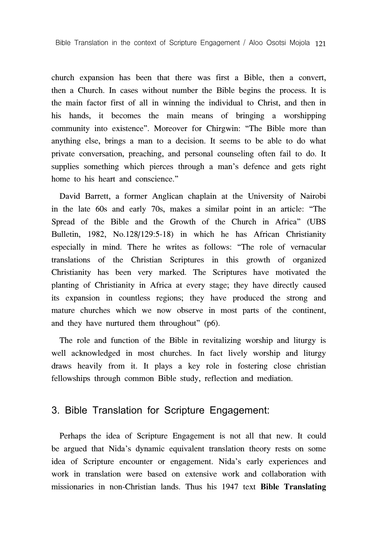church expansion has been that there was first a Bible, then a convert, then a Church. In cases without number the Bible begins the process. It is the main factor first of all in winning the individual to Christ, and then in his hands, it becomes the main means of bringing a worshipping community into existence". Moreover for Chirgwin: "The Bible more than anything else, brings a man to a decision. It seems to be able to do what private conversation, preaching, and personal counseling often fail to do. It supplies something which pierces through a man's defence and gets right home to his heart and conscience."

David Barrett, a former Anglican chaplain at the University of Nairobi in the late 60s and early 70s, makes a similar point in an article: "The Spread of the Bible and the Growth of the Church in Africa" (UBS Bulletin, 1982, No.128/129:5-18) in which he has African Christianity especially in mind. There he writes as follows: "The role of vernacular translations of the Christian Scriptures in this growth of organized Christianity has been very marked. The Scriptures have motivated the planting of Christianity in Africa at every stage; they have directly caused its expansion in countless regions; they have produced the strong and mature churches which we now observe in most parts of the continent, and they have nurtured them throughout" (p6).

The role and function of the Bible in revitalizing worship and liturgy is well acknowledged in most churches. In fact lively worship and liturgy draws heavily from it. It plays a key role in fostering close christian fellowships through common Bible study, reflection and mediation.

## 3. Bible Translation for Scripture Engagement:

Perhaps the idea of Scripture Engagement is not all that new. It could be argued that Nida's dynamic equivalent translation theory rests on some idea of Scripture encounter or engagement. Nida's early experiences and work in translation were based on extensive work and collaboration with missionaries in non-Christian lands. Thus his 1947 text **Bible Translating**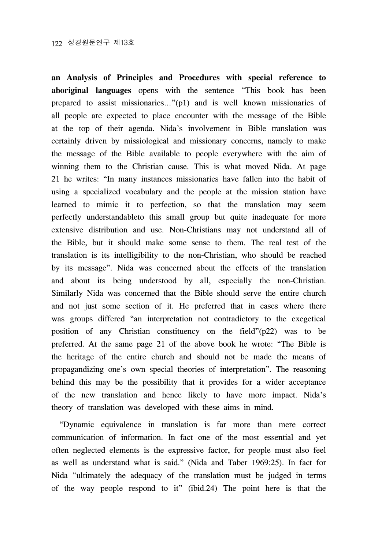**an Analysis of Principles and Procedures with special reference to aboriginal languages** opens with the sentence "This book has been prepared to assist missionaries…"(p1) and is well known missionaries of all people are expected to place encounter with the message of the Bible at the top of their agenda. Nida's involvement in Bible translation was certainly driven by missiological and missionary concerns, namely to make the message of the Bible available to people everywhere with the aim of winning them to the Christian cause. This is what moved Nida. At page 21 he writes: "In many instances missionaries have fallen into the habit of using a specialized vocabulary and the people at the mission station have learned to mimic it to perfection, so that the translation may seem perfectly understandableto this small group but quite inadequate for more extensive distribution and use. Non-Christians may not understand all of the Bible, but it should make some sense to them. The real test of the translation is its intelligibility to the non-Christian, who should be reached by its message". Nida was concerned about the effects of the translation and about its being understood by all, especially the non-Christian. Similarly Nida was concerned that the Bible should serve the entire church and not just some section of it. He preferred that in cases where there was groups differed "an interpretation not contradictory to the exegetical position of any Christian constituency on the field"(p22) was to be preferred. At the same page 21 of the above book he wrote: "The Bible is the heritage of the entire church and should not be made the means of propagandizing one's own special theories of interpretation". The reasoning behind this may be the possibility that it provides for a wider acceptance of the new translation and hence likely to have more impact. Nida's theory of translation was developed with these aims in mind.

"Dynamic equivalence in translation is far more than mere correct communication of information. In fact one of the most essential and yet often neglected elements is the expressive factor, for people must also feel as well as understand what is said." (Nida and Taber 1969:25). In fact for Nida "ultimately the adequacy of the translation must be judged in terms of the way people respond to it" (ibid.24) The point here is that the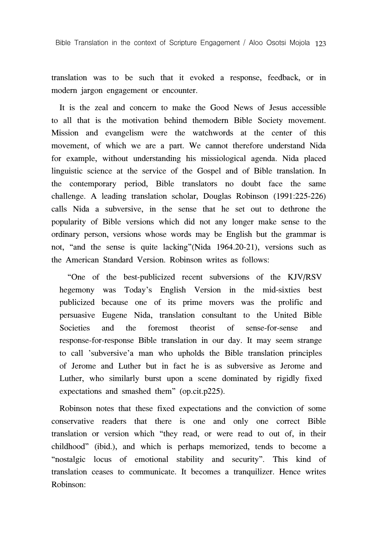translation was to be such that it evoked a response, feedback, or in modern jargon engagement or encounter.

It is the zeal and concern to make the Good News of Jesus accessible to all that is the motivation behind themodern Bible Society movement. Mission and evangelism were the watchwords at the center of this movement, of which we are a part. We cannot therefore understand Nida for example, without understanding his missiological agenda. Nida placed linguistic science at the service of the Gospel and of Bible translation. In the contemporary period, Bible translators no doubt face the same challenge. A leading translation scholar, Douglas Robinson (1991:225-226) calls Nida a subversive, in the sense that he set out to dethrone the popularity of Bible versions which did not any longer make sense to the ordinary person, versions whose words may be English but the grammar is not, "and the sense is quite lacking"(Nida 1964.20-21), versions such as the American Standard Version. Robinson writes as follows:

"One of the best-publicized recent subversions of the KJV/RSV hegemony was Today's English Version in the mid-sixties best publicized because one of its prime movers was the prolific and persuasive Eugene Nida, translation consultant to the United Bible Societies and the foremost theorist of sense-for-sense and response-for-response Bible translation in our day. It may seem strange to call 'subversive'a man who upholds the Bible translation principles of Jerome and Luther but in fact he is as subversive as Jerome and Luther, who similarly burst upon a scene dominated by rigidly fixed expectations and smashed them" (op.cit.p225).

Robinson notes that these fixed expectations and the conviction of some conservative readers that there is one and only one correct Bible translation or version which "they read, or were read to out of, in their childhood" (ibid.), and which is perhaps memorized, tends to become a "nostalgic locus of emotional stability and security". This kind of translation ceases to communicate. It becomes a tranquilizer. Hence writes Robinson: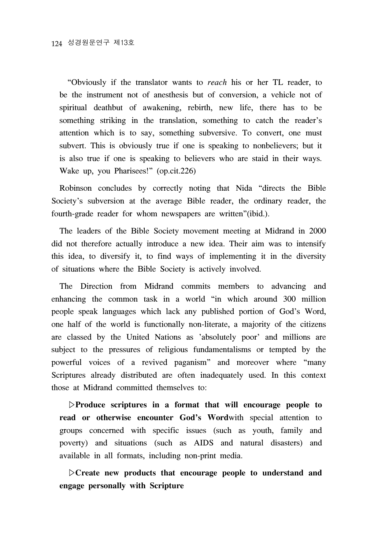"Obviously if the translator wants to *reach* his or her TL reader, to be the instrument not of anesthesis but of conversion, a vehicle not of spiritual deathbut of awakening, rebirth, new life, there has to be something striking in the translation, something to catch the reader's attention which is to say, something subversive. To convert, one must subvert. This is obviously true if one is speaking to nonbelievers; but it is also true if one is speaking to believers who are staid in their ways. Wake up, you Pharisees!" (op.cit.226)

Robinson concludes by correctly noting that Nida "directs the Bible Society's subversion at the average Bible reader, the ordinary reader, the fourth-grade reader for whom newspapers are written"(ibid.).

The leaders of the Bible Society movement meeting at Midrand in 2000 did not therefore actually introduce a new idea. Their aim was to intensify this idea, to diversify it, to find ways of implementing it in the diversity of situations where the Bible Society is actively involved.

The Direction from Midrand commits members to advancing and enhancing the common task in a world "in which around 300 million people speak languages which lack any published portion of God's Word, one half of the world is functionally non-literate, a majority of the citizens are classed by the United Nations as 'absolutely poor' and millions are subject to the pressures of religious fundamentalisms or tempted by the powerful voices of a revived paganism" and moreover where "many Scriptures already distributed are often inadequately used. In this context those at Midrand committed themselves to:

▷**Produce scriptures in a format that will encourage people to read or otherwise encounter God's Word**with special attention to groups concerned with specific issues (such as youth, family and poverty) and situations (such as AIDS and natural disasters) and available in all formats, including non-print media.

▷**Create new products that encourage people to understand and engage personally with Scripture**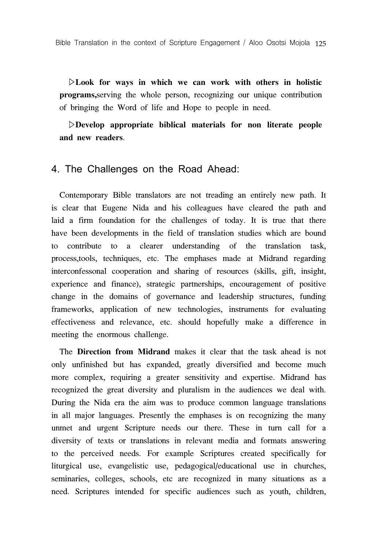▷**Look for ways in which we can work with others in holistic programs,**serving the whole person, recognizing our unique contribution of bringing the Word of life and Hope to people in need.

▷**Develop appropriate biblical materials for non literate people and new readers**.

#### 4. The Challenges on the Road Ahead:

Contemporary Bible translators are not treading an entirely new path. It is clear that Eugene Nida and his colleagues have cleared the path and laid a firm foundation for the challenges of today. It is true that there have been developments in the field of translation studies which are bound to contribute to a clearer understanding of the translation task, process,tools, techniques, etc. The emphases made at Midrand regarding interconfessonal cooperation and sharing of resources (skills, gift, insight, experience and finance), strategic partnerships, encouragement of positive change in the domains of governance and leadership structures, funding frameworks, application of new technologies, instruments for evaluating effectiveness and relevance, etc. should hopefully make a difference in meeting the enormous challenge.

The **Direction from Midrand** makes it clear that the task ahead is not only unfinished but has expanded, greatly diversified and become much more complex, requiring a greater sensitivity and expertise. Midrand has recognized the great diversity and pluralism in the audiences we deal with. During the Nida era the aim was to produce common language translations in all major languages. Presently the emphases is on recognizing the many unmet and urgent Scripture needs our there. These in turn call for a diversity of texts or translations in relevant media and formats answering to the perceived needs. For example Scriptures created specifically for liturgical use, evangelistic use, pedagogical/educational use in churches, seminaries, colleges, schools, etc are recognized in many situations as a need. Scriptures intended for specific audiences such as youth, children,